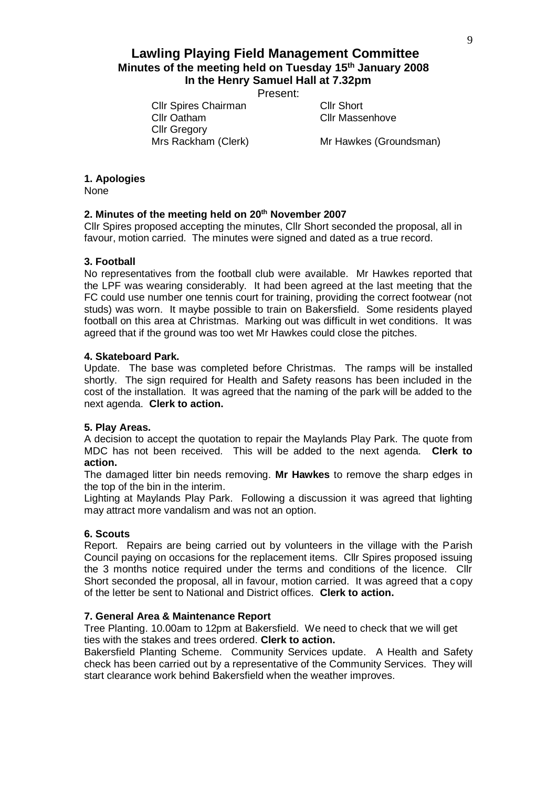# **Lawling Playing Field Management Committee Minutes of the meeting held on Tuesday 15th January 2008 In the Henry Samuel Hall at 7.32pm**

Present:

Cllr Spires Chairman Cllr Short Cllr Oatham Cllr Massenhove Cllr Gregory

Mrs Rackham (Clerk) Mr Hawkes (Groundsman)

## **1. Apologies**

None

## **2. Minutes of the meeting held on 20th November 2007**

Cllr Spires proposed accepting the minutes, Cllr Short seconded the proposal, all in favour, motion carried. The minutes were signed and dated as a true record.

#### **3. Football**

No representatives from the football club were available. Mr Hawkes reported that the LPF was wearing considerably. It had been agreed at the last meeting that the FC could use number one tennis court for training, providing the correct footwear (not studs) was worn. It maybe possible to train on Bakersfield. Some residents played football on this area at Christmas. Marking out was difficult in wet conditions. It was agreed that if the ground was too wet Mr Hawkes could close the pitches.

### **4. Skateboard Park.**

Update. The base was completed before Christmas. The ramps will be installed shortly. The sign required for Health and Safety reasons has been included in the cost of the installation. It was agreed that the naming of the park will be added to the next agenda. **Clerk to action.**

#### **5. Play Areas.**

A decision to accept the quotation to repair the Maylands Play Park. The quote from MDC has not been received. This will be added to the next agenda. **Clerk to action.**

The damaged litter bin needs removing. **Mr Hawkes** to remove the sharp edges in the top of the bin in the interim.

Lighting at Maylands Play Park. Following a discussion it was agreed that lighting may attract more vandalism and was not an option.

#### **6. Scouts**

Report. Repairs are being carried out by volunteers in the village with the Parish Council paying on occasions for the replacement items. Cllr Spires proposed issuing the 3 months notice required under the terms and conditions of the licence. Cllr Short seconded the proposal, all in favour, motion carried. It was agreed that a copy of the letter be sent to National and District offices. **Clerk to action.**

#### **7. General Area & Maintenance Report**

Tree Planting. 10.00am to 12pm at Bakersfield. We need to check that we will get ties with the stakes and trees ordered. **Clerk to action.**

Bakersfield Planting Scheme. Community Services update. A Health and Safety check has been carried out by a representative of the Community Services. They will start clearance work behind Bakersfield when the weather improves.